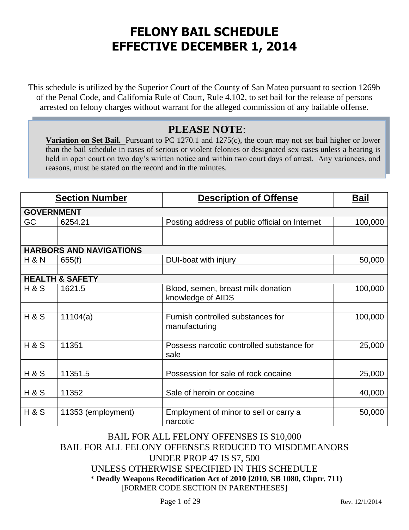# **FELONY BAIL SCHEDULE EFFECTIVE DECEMBER 1, 2014**

This schedule is utilized by the Superior Court of the County of San Mateo pursuant to section 1269b of the Penal Code, and California Rule of Court, Rule 4.102, to set bail for the release of persons arrested on felony charges without warrant for the alleged commission of any bailable offense.

## **PLEASE NOTE**:

**Variation on Set Bail.** Pursuant to PC 1270.1 and 1275(c), the court may not set bail higher or lower than the bail schedule in cases of serious or violent felonies or designated sex cases unless a hearing is held in open court on two day's written notice and within two court days of arrest. Any variances, and reasons, must be stated on the record and in the minutes.

|                   | <b>Section Number</b>          | <b>Description of Offense</b>                           | <u>Bail</u> |
|-------------------|--------------------------------|---------------------------------------------------------|-------------|
| <b>GOVERNMENT</b> |                                |                                                         |             |
| GC                | 6254.21                        | Posting address of public official on Internet          | 100,000     |
|                   |                                |                                                         |             |
|                   | <b>HARBORS AND NAVIGATIONS</b> |                                                         |             |
| <b>H&amp;N</b>    | 655(f)                         | DUI-boat with injury                                    | 50,000      |
|                   |                                |                                                         |             |
|                   | <b>HEALTH &amp; SAFETY</b>     |                                                         |             |
| H & S             | 1621.5                         | Blood, semen, breast milk donation<br>knowledge of AIDS | 100,000     |
|                   |                                |                                                         |             |
| <b>H&amp;S</b>    | 11104(a)                       | Furnish controlled substances for<br>manufacturing      | 100,000     |
|                   |                                |                                                         |             |
| <b>H&amp;S</b>    | 11351                          | Possess narcotic controlled substance for<br>sale       | 25,000      |
|                   |                                |                                                         |             |
| <b>H&amp;S</b>    | 11351.5                        | Possession for sale of rock cocaine                     | 25,000      |
|                   |                                |                                                         |             |
| <b>H&amp;S</b>    | 11352                          | Sale of heroin or cocaine                               | 40,000      |
|                   |                                |                                                         |             |
| <b>H&amp;S</b>    | 11353 (employment)             | Employment of minor to sell or carry a<br>narcotic      | 50,000      |

### BAIL FOR ALL FELONY OFFENSES IS \$10,000 BAIL FOR ALL FELONY OFFENSES REDUCED TO MISDEMEANORS UNDER PROP 47 IS \$7, 500 UNLESS OTHERWISE SPECIFIED IN THIS SCHEDULE \* **Deadly Weapons Recodification Act of 2010 [2010, SB 1080, Chptr. 711)** [FORMER CODE SECTION IN PARENTHESES]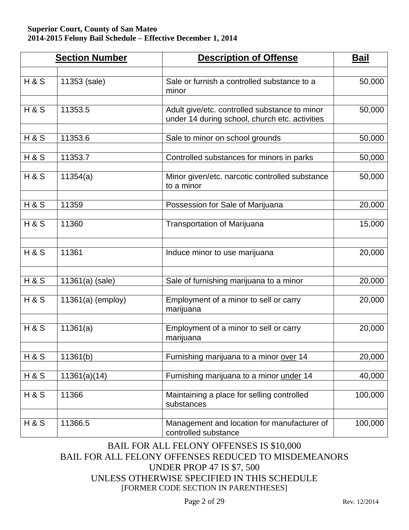|                | <b>Section Number</b> | <b>Description of Offense</b>                                                                   | <b>Bail</b> |
|----------------|-----------------------|-------------------------------------------------------------------------------------------------|-------------|
| <b>H&amp;S</b> | 11353 (sale)          | Sale or furnish a controlled substance to a<br>minor                                            | 50,000      |
| <b>H&amp;S</b> | 11353.5               | Adult give/etc. controlled substance to minor<br>under 14 during school, church etc. activities | 50,000      |
| <b>H&amp;S</b> | 11353.6               | Sale to minor on school grounds                                                                 | 50,000      |
| <b>H&amp;S</b> | 11353.7               | Controlled substances for minors in parks                                                       | 50,000      |
| <b>H&amp;S</b> | 11354(a)              | Minor given/etc. narcotic controlled substance<br>to a minor                                    | 50,000      |
| <b>H&amp;S</b> | 11359                 | Possession for Sale of Marijuana                                                                | 20,000      |
| <b>H&amp;S</b> | 11360                 | <b>Transportation of Marijuana</b>                                                              | 15,000      |
| <b>H&amp;S</b> | 11361                 | Induce minor to use marijuana                                                                   | 20,000      |
| <b>H&amp;S</b> | 11361(a) (sale)       | Sale of furnishing marijuana to a minor                                                         | 20,000      |
| <b>H&amp;S</b> | $11361(a)$ (employ)   | Employment of a minor to sell or carry<br>marijuana                                             | 20,000      |
| <b>H&amp;S</b> | 11361(a)              | Employment of a minor to sell or carry<br>marijuana                                             | 20,000      |
| <b>H&amp;S</b> | 11361(b)              | Furnishing marijuana to a minor over 14                                                         | 20,000      |
| H&S            | 11361(a)(14)          | Furnishing marijuana to a minor under 14                                                        | 40,000      |
| <b>H&amp;S</b> | 11366                 | Maintaining a place for selling controlled<br>substances                                        | 100,000     |
| <b>H&amp;S</b> | 11366.5               | Management and location for manufacturer of<br>controlled substance                             | 100,000     |

### BAIL FOR ALL FELONY OFFENSES IS \$10,000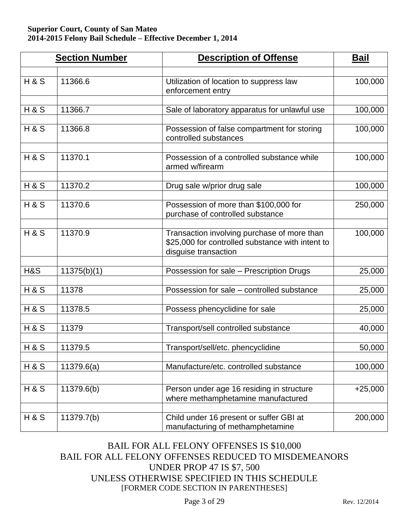|                | <b>Section Number</b> | <b>Description of Offense</b>                                                                                           | <u>Bail</u> |
|----------------|-----------------------|-------------------------------------------------------------------------------------------------------------------------|-------------|
| <b>H&amp;S</b> | 11366.6               | Utilization of location to suppress law<br>enforcement entry                                                            | 100,000     |
| <b>H&amp;S</b> | 11366.7               | Sale of laboratory apparatus for unlawful use                                                                           | 100,000     |
| <b>H&amp;S</b> | 11366.8               | Possession of false compartment for storing<br>controlled substances                                                    | 100,000     |
| <b>H&amp;S</b> | 11370.1               | Possession of a controlled substance while<br>armed w/firearm                                                           | 100,000     |
| <b>H&amp;S</b> | 11370.2               | Drug sale w/prior drug sale                                                                                             | 100,000     |
| <b>H&amp;S</b> | 11370.6               | Possession of more than \$100,000 for<br>purchase of controlled substance                                               | 250,000     |
| <b>H&amp;S</b> | 11370.9               | Transaction involving purchase of more than<br>\$25,000 for controlled substance with intent to<br>disguise transaction | 100,000     |
| H&S            | 11375(b)(1)           | Possession for sale - Prescription Drugs                                                                                | 25,000      |
| <b>H&amp;S</b> | 11378                 | Possession for sale - controlled substance                                                                              | 25,000      |
| <b>H&amp;S</b> | 11378.5               | Possess phencyclidine for sale                                                                                          | 25,000      |
| <b>H&amp;S</b> | 11379                 | Transport/sell controlled substance                                                                                     | 40,000      |
| <b>H&amp;S</b> | 11379.5               | Transport/sell/etc. phencyclidine                                                                                       | 50,000      |
| <b>H&amp;S</b> | 11379.6(a)            | Manufacture/etc. controlled substance                                                                                   | 100,000     |
| <b>H&amp;S</b> | 11379.6(b)            | Person under age 16 residing in structure<br>where methamphetamine manufactured                                         | $+25,000$   |
| <b>H&amp;S</b> | 11379.7(b)            | Child under 16 present or suffer GBI at<br>manufacturing of methamphetamine                                             | 200,000     |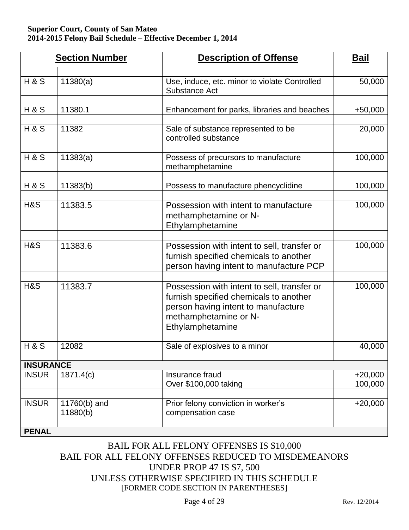|                  | <b>Section Number</b>    | <b>Description of Offense</b>                                                                                                                                             | <b>Bail</b>          |
|------------------|--------------------------|---------------------------------------------------------------------------------------------------------------------------------------------------------------------------|----------------------|
| <b>H&amp;S</b>   | 11380(a)                 | Use, induce, etc. minor to violate Controlled<br>Substance Act                                                                                                            | 50,000               |
| <b>H&amp;S</b>   | 11380.1                  | Enhancement for parks, libraries and beaches                                                                                                                              | $+50,000$            |
| <b>H&amp;S</b>   | 11382                    | Sale of substance represented to be<br>controlled substance                                                                                                               | 20,000               |
| <b>H&amp;S</b>   | 11383(a)                 | Possess of precursors to manufacture<br>methamphetamine                                                                                                                   | 100,000              |
| H & S            | 11383(b)                 | Possess to manufacture phencyclidine                                                                                                                                      | 100,000              |
| H&S              | 11383.5                  | Possession with intent to manufacture<br>methamphetamine or N-<br>Ethylamphetamine                                                                                        | 100,000              |
| H&S              | 11383.6                  | Possession with intent to sell, transfer or<br>furnish specified chemicals to another<br>person having intent to manufacture PCP                                          | 100,000              |
| H&S              | 11383.7                  | Possession with intent to sell, transfer or<br>furnish specified chemicals to another<br>person having intent to manufacture<br>methamphetamine or N-<br>Ethylamphetamine | 100,000              |
| H&S              | 12082                    | Sale of explosives to a minor                                                                                                                                             | 40,000               |
| <b>INSURANCE</b> |                          |                                                                                                                                                                           |                      |
| <b>INSUR</b>     | 1871.4(c)                | Insurance fraud<br>Over \$100,000 taking                                                                                                                                  | $+20,000$<br>100,000 |
| <b>INSUR</b>     | 11760(b) and<br>11880(b) | Prior felony conviction in worker's<br>compensation case                                                                                                                  | $+20,000$            |
| <b>PENAL</b>     |                          |                                                                                                                                                                           |                      |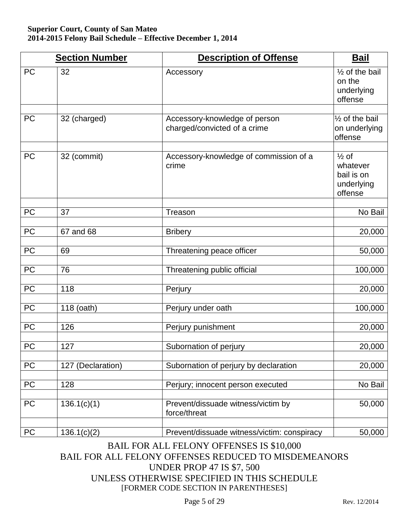|            | <b>Section Number</b> | <b>Description of Offense</b>                                 | <b>Bail</b>                                                         |
|------------|-----------------------|---------------------------------------------------------------|---------------------------------------------------------------------|
| <b>PC</b>  | 32                    | Accessory                                                     | $\frac{1}{2}$ of the bail<br>on the<br>underlying<br>offense        |
| PC         | 32 (charged)          | Accessory-knowledge of person<br>charged/convicted of a crime | $\frac{1}{2}$ of the bail<br>on underlying<br>offense               |
| <b>PC</b>  | 32 (commit)           | Accessory-knowledge of commission of a<br>crime               | $\frac{1}{2}$ of<br>whatever<br>bail is on<br>underlying<br>offense |
| PC         | 37                    | Treason                                                       | No Bail                                                             |
| PC         | 67 and 68             | <b>Bribery</b>                                                | 20,000                                                              |
| PC         | 69                    | Threatening peace officer                                     | 50,000                                                              |
| PC         | 76                    | Threatening public official                                   | 100,000                                                             |
| PC         | 118                   | Perjury                                                       | 20,000                                                              |
| PC         | 118 (oath)            | Perjury under oath                                            | 100,000                                                             |
| PC         | 126                   | Perjury punishment                                            | 20,000                                                              |
| <b>PC</b>  | 127                   | Subornation of perjury                                        | 20,000                                                              |
| PC         | 127 (Declaration)     | Subornation of perjury by declaration                         | 20,000                                                              |
| PC         | 128                   | Perjury; innocent person executed                             | No Bail                                                             |
| PC         | 136.1(c)(1)           | Prevent/dissuade witness/victim by<br>force/threat            | 50,000                                                              |
| ${\sf PC}$ | 136.1(c)(2)           | Prevent/dissuade witness/victim: conspiracy                   | 50,000                                                              |

### BAIL FOR ALL FELONY OFFENSES IS \$10,000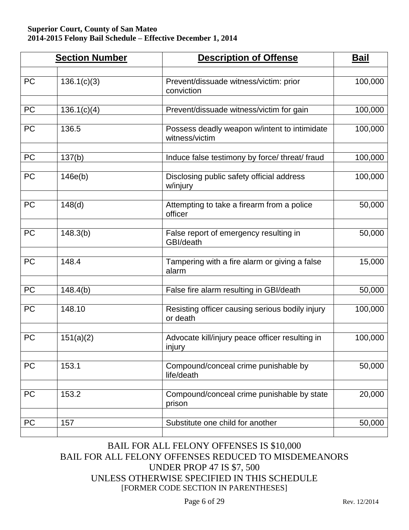|           | <b>Section Number</b>    | <b>Description of Offense</b>                                    | <u>Bail</u> |
|-----------|--------------------------|------------------------------------------------------------------|-------------|
| <b>PC</b> | 136.1(c)(3)              | Prevent/dissuade witness/victim: prior<br>conviction             | 100,000     |
| <b>PC</b> | $\overline{1}36.1(c)(4)$ | Prevent/dissuade witness/victim for gain                         | 100,000     |
| <b>PC</b> | 136.5                    | Possess deadly weapon w/intent to intimidate<br>witness/victim   | 100,000     |
| <b>PC</b> | 137(b)                   | Induce false testimony by force/ threat/ fraud                   | 100,000     |
| <b>PC</b> | 146e(b)                  | Disclosing public safety official address<br>w/injury            | 100,000     |
| <b>PC</b> | 148(d)                   | Attempting to take a firearm from a police<br>officer            | 50,000      |
| <b>PC</b> | 148.3(b)                 | False report of emergency resulting in<br>GBI/death              | 50,000      |
| <b>PC</b> | 148.4                    | Tampering with a fire alarm or giving a false<br>alarm           | 15,000      |
| <b>PC</b> | 148.4(b)                 | False fire alarm resulting in GBI/death                          | 50,000      |
| <b>PC</b> | 148.10                   | Resisting officer causing serious bodily injury<br>or death      | 100,000     |
| <b>PC</b> | 151(a)(2)                | Advocate kill/injury peace officer resulting in<br><u>injury</u> | 100,000     |
| PC        | 153.1                    | Compound/conceal crime punishable by<br>life/death               | 50,000      |
| <b>PC</b> | 153.2                    | Compound/conceal crime punishable by state<br>prison             | 20,000      |
| <b>PC</b> | 157                      | Substitute one child for another                                 | 50,000      |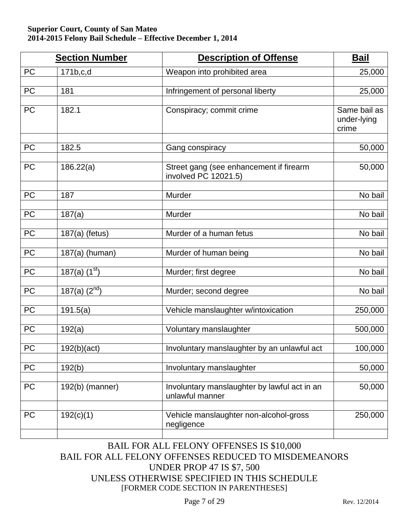|                 | <b>Section Number</b>          | <b>Description of Offense</b>                                   | <b>Bail</b>                          |
|-----------------|--------------------------------|-----------------------------------------------------------------|--------------------------------------|
| PC              | 171b,c,d                       | Weapon into prohibited area                                     | 25,000                               |
| PC              | 181                            | Infringement of personal liberty                                | 25,000                               |
| PC              | 182.1                          | Conspiracy; commit crime                                        | Same bail as<br>under-lying<br>crime |
| PC              | 182.5                          | Gang conspiracy                                                 | 50,000                               |
| PC              | 186.22(a)                      | Street gang (see enhancement if firearm<br>involved PC 12021.5) | 50,000                               |
| $\overline{PC}$ | 187                            | Murder                                                          | No bail                              |
| PC              | 187(a)                         | Murder                                                          | No bail                              |
| PC              | 187(a) (fetus)                 | Murder of a human fetus                                         | No bail                              |
| PC              | 187(a) (human)                 | Murder of human being                                           | No bail                              |
| PC              | 187(a) $(1st)$                 | Murder; first degree                                            | No bail                              |
| PC              | $187(a)$ $(\overline{2^{nd}})$ | Murder; second degree                                           | No bail                              |
| PC              | 191.5(a)                       | Vehicle manslaughter w/intoxication                             | 250,000                              |
| <b>PC</b>       | 192(a)                         | Voluntary manslaughter                                          | 500,000                              |
| <b>PC</b>       | 192(b)(act)                    | Involuntary manslaughter by an unlawful act                     | 100,000                              |
| PC              | 192(b)                         | Involuntary manslaughter                                        | 50,000                               |
| PC              | 192(b) (manner)                | Involuntary manslaughter by lawful act in an<br>unlawful manner | 50,000                               |
| PC              | 192(c)(1)                      | Vehicle manslaughter non-alcohol-gross<br>negligence            | 250,000                              |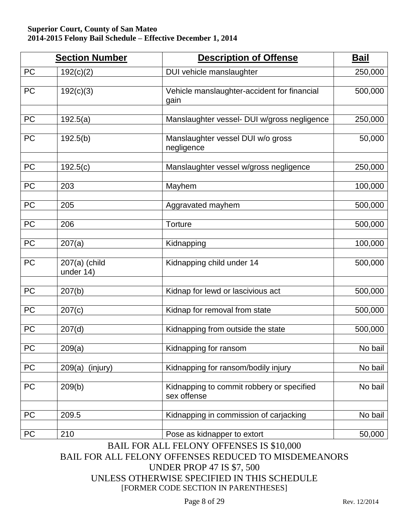|           | <b>Section Number</b>        | <b>Description of Offense</b>                            | <b>Bail</b> |
|-----------|------------------------------|----------------------------------------------------------|-------------|
| <b>PC</b> | 192(c)(2)                    | DUI vehicle manslaughter                                 | 250,000     |
| PC        | 192(c)(3)                    | Vehicle manslaughter-accident for financial<br>gain      | 500,000     |
| PC        | 192.5(a)                     | Manslaughter vessel- DUI w/gross negligence              | 250,000     |
| PC        | 192.5(b)                     | Manslaughter vessel DUI w/o gross<br>negligence          | 50,000      |
| PC        | 192.5(c)                     | Manslaughter vessel w/gross negligence                   | 250,000     |
| PC        | 203                          | Mayhem                                                   | 100,000     |
| PC        | 205                          | Aggravated mayhem                                        | 500,000     |
| PC        | 206                          | Torture                                                  | 500,000     |
| PC        | 207(a)                       | Kidnapping                                               | 100,000     |
| PC        | $207(a)$ (child<br>under 14) | Kidnapping child under 14                                | 500,000     |
| PC        | 207(b)                       | Kidnap for lewd or lascivious act                        | 500,000     |
| PC        | 207(c)                       | Kidnap for removal from state                            | 500,000     |
| PC        | 207(d)                       | Kidnapping from outside the state                        | 500,000     |
| PC        | 209(a)                       | Kidnapping for ransom                                    | No bail     |
| PC        | $209(a)$ (injury)            | Kidnapping for ransom/bodily injury                      | No bail     |
| PC        | 209(b)                       | Kidnapping to commit robbery or specified<br>sex offense | No bail     |
| PC        | 209.5                        | Kidnapping in commission of carjacking                   | No bail     |
| PC        | 210                          | Pose as kidnapper to extort                              | 50,000      |

BAIL FOR ALL FELONY OFFENSES IS \$10,000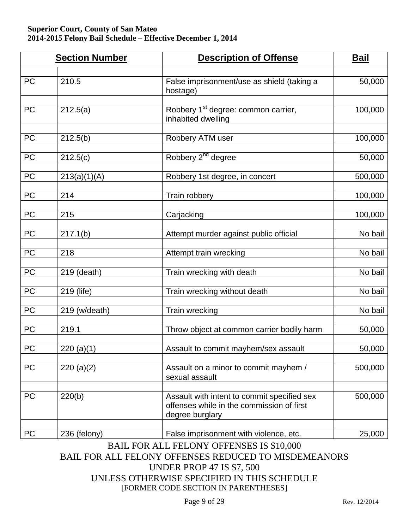|                 | <b>Section Number</b> | <b>Description of Offense</b>                                                                               | <b>Bail</b> |
|-----------------|-----------------------|-------------------------------------------------------------------------------------------------------------|-------------|
| <b>PC</b>       | 210.5                 | False imprisonment/use as shield (taking a<br>hostage)                                                      | 50,000      |
| <b>PC</b>       | 212.5(a)              | Robbery 1 <sup>st</sup> degree: common carrier,<br>inhabited dwelling                                       | 100,000     |
| $\overline{PC}$ | 212.5(b)              | Robbery ATM user                                                                                            | 100,000     |
| PC              | 212.5(c)              | Robbery 2 <sup>nd</sup> degree                                                                              | 50,000      |
| PC              | 213(a)(1)(A)          | Robbery 1st degree, in concert                                                                              | 500,000     |
| PC              | 214                   | Train robbery                                                                                               | 100,000     |
| PC              | 215                   | Carjacking                                                                                                  | 100,000     |
| PC              | 217.1(b)              | Attempt murder against public official                                                                      | No bail     |
| PC              | 218                   | Attempt train wrecking                                                                                      | No bail     |
| PC              | 219 (death)           | Train wrecking with death                                                                                   | No bail     |
| PC              | 219 (life)            | Train wrecking without death                                                                                | No bail     |
| PC              | 219 (w/death)         | Train wrecking                                                                                              | No bail     |
| PC              | 219.1                 | Throw object at common carrier bodily harm                                                                  | 50,000      |
| <b>PC</b>       | 220 (a)(1)            | Assault to commit mayhem/sex assault                                                                        | 50,000      |
| <b>PC</b>       | 220(a)(2)             | Assault on a minor to commit mayhem /<br>sexual assault                                                     | 500,000     |
| PC              | 220(b)                | Assault with intent to commit specified sex<br>offenses while in the commission of first<br>degree burglary | 500,000     |
| <b>PC</b>       | 236 (felony)          | False imprisonment with violence, etc.<br><b>BAIL FOR ALL FELONY OFFENSES IS \$10,000</b>                   | 25,000      |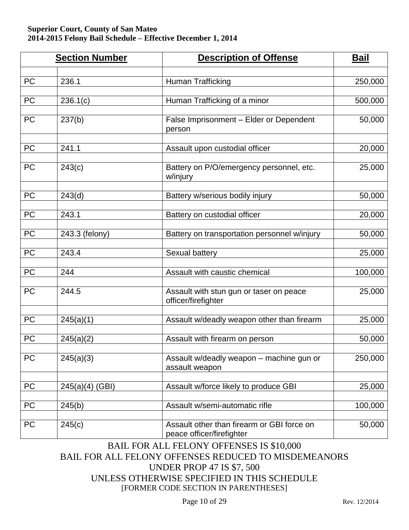|           | <b>Section Number</b> | <b>Description of Offense</b>                                           | <u>Bail</u> |
|-----------|-----------------------|-------------------------------------------------------------------------|-------------|
|           |                       |                                                                         |             |
| <b>PC</b> | 236.1                 | Human Trafficking                                                       | 250,000     |
| PC        | 236.1(c)              | Human Trafficking of a minor                                            | 500,000     |
| <b>PC</b> | 237(b)                | False Imprisonment - Elder or Dependent<br>person                       | 50,000      |
| <b>PC</b> | 241.1                 | Assault upon custodial officer                                          | 20,000      |
| <b>PC</b> | 243(c)                | Battery on P/O/emergency personnel, etc.<br>w/injury                    | 25,000      |
| <b>PC</b> | 243(d)                | Battery w/serious bodily injury                                         | 50,000      |
| PC        | 243.1                 | Battery on custodial officer                                            | 20,000      |
| <b>PC</b> | 243.3 (felony)        | Battery on transportation personnel w/injury                            | 50,000      |
| PC        | 243.4                 | Sexual battery                                                          | 25,000      |
| <b>PC</b> | 244                   | Assault with caustic chemical                                           | 100,000     |
| <b>PC</b> | 244.5                 | Assault with stun gun or taser on peace<br>officer/firefighter          | 25,000      |
| PC        | 245(a)(1)             | Assault w/deadly weapon other than firearm                              | 25,000      |
| <b>PC</b> | 245(a)(2)             | Assault with firearm on person                                          | 50,000      |
| <b>PC</b> | 245(a)(3)             | Assault w/deadly weapon - machine gun or<br>assault weapon              | 250,000     |
| <b>PC</b> | 245(a)(4) (GBI)       | Assault w/force likely to produce GBI                                   | 25,000      |
| <b>PC</b> | 245(b)                | Assault w/semi-automatic rifle                                          | 100,000     |
| PC        | 245(c)                | Assault other than firearm or GBI force on<br>peace officer/firefighter | 50,000      |

BAIL FOR ALL FELONY OFFENSES IS \$10,000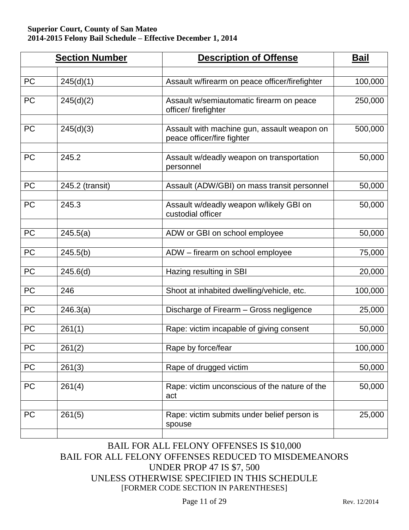|            | <b>Section Number</b> | <b>Description of Offense</b>                                             | <b>Bail</b> |
|------------|-----------------------|---------------------------------------------------------------------------|-------------|
|            |                       |                                                                           |             |
| PC         | 245(d)(1)             | Assault w/firearm on peace officer/firefighter                            | 100,000     |
| <b>PC</b>  | 245(d)(2)             | Assault w/semiautomatic firearm on peace<br>officer/firefighter           | 250,000     |
| <b>PC</b>  | 245(d)(3)             | Assault with machine gun, assault weapon on<br>peace officer/fire fighter | 500,000     |
| <b>PC</b>  | 245.2                 | Assault w/deadly weapon on transportation<br>personnel                    | 50,000      |
| PC         | 245.2 (transit)       | Assault (ADW/GBI) on mass transit personnel                               | 50,000      |
|            |                       |                                                                           |             |
| <b>PC</b>  | 245.3                 | Assault w/deadly weapon w/likely GBI on<br>custodial officer              | 50,000      |
| PC         | 245.5(a)              | ADW or GBI on school employee                                             | 50,000      |
|            |                       |                                                                           |             |
| <b>PC</b>  | 245.5(b)              | ADW - firearm on school employee                                          | 75,000      |
| <b>PC</b>  | 245.6(d)              | Hazing resulting in SBI                                                   | 20,000      |
|            |                       |                                                                           |             |
| PC         | 246                   | Shoot at inhabited dwelling/vehicle, etc.                                 | 100,000     |
| PC         | 246.3(a)              | Discharge of Firearm - Gross negligence                                   | 25,000      |
| PC         | 261(1)                | Rape: victim incapable of giving consent                                  | 50,000      |
|            |                       |                                                                           |             |
| <b>PC</b>  | 261(2)                | Rape by force/fear                                                        | 100,000     |
| ${\sf PC}$ | 261(3)                | Rape of drugged victim                                                    | 50,000      |
| PC         | 261(4)                | Rape: victim unconscious of the nature of the<br>act                      | 50,000      |
| PC         | 261(5)                | Rape: victim submits under belief person is<br>spouse                     | 25,000      |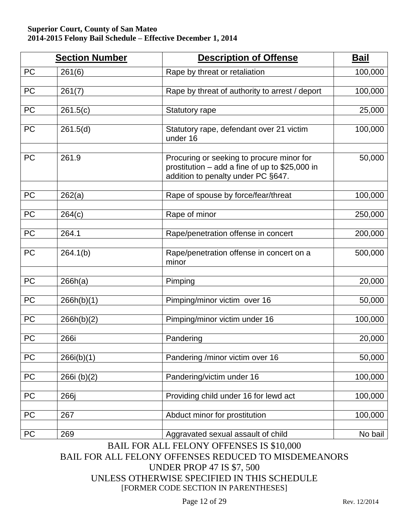|           | <b>Section Number</b>  | <b>Description of Offense</b>                                                                                                       | <b>Bail</b> |
|-----------|------------------------|-------------------------------------------------------------------------------------------------------------------------------------|-------------|
| <b>PC</b> | 261(6)                 | Rape by threat or retaliation                                                                                                       | 100,000     |
| PC        | 261(7)                 | Rape by threat of authority to arrest / deport                                                                                      | 100,000     |
| PC        | 261.5(c)               | <b>Statutory rape</b>                                                                                                               | 25,000      |
| <b>PC</b> | $\overline{261.5}$ (d) | Statutory rape, defendant over 21 victim<br>under 16                                                                                | 100,000     |
| <b>PC</b> | 261.9                  | Procuring or seeking to procure minor for<br>prostitution $-$ add a fine of up to \$25,000 in<br>addition to penalty under PC §647. | 50,000      |
| <b>PC</b> | 262(a)                 | Rape of spouse by force/fear/threat                                                                                                 | 100,000     |
| PC        | 264(c)                 | Rape of minor                                                                                                                       | 250,000     |
| PC        | 264.1                  | Rape/penetration offense in concert                                                                                                 | 200,000     |
| <b>PC</b> | 264.1(b)               | Rape/penetration offense in concert on a<br>minor                                                                                   | 500,000     |
| PC        | 266h(a)                | Pimping                                                                                                                             | 20,000      |
| PC        | 266h(b)(1)             | Pimping/minor victim over 16                                                                                                        | 50,000      |
| PC        | 266h(b)(2)             | Pimping/minor victim under 16                                                                                                       | 100,000     |
| PC        | 266i                   | Pandering                                                                                                                           | 20,000      |
| PC        | 266i(b)(1)             | Pandering /minor victim over 16                                                                                                     | 50,000      |
| PC        | 266i (b)(2)            | Pandering/victim under 16                                                                                                           | 100,000     |
| PC        | 266j                   | Providing child under 16 for lewd act                                                                                               | 100,000     |
| PC        | 267                    | Abduct minor for prostitution                                                                                                       | 100,000     |
| PC        | 269                    | Aggravated sexual assault of child                                                                                                  | No bail     |

BAIL FOR ALL FELONY OFFENSES IS \$10,000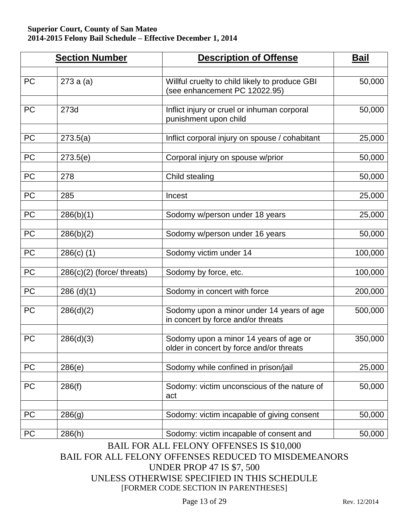|           | <b>Section Number</b>        | <b>Description of Offense</b>                                                      | <b>Bail</b> |
|-----------|------------------------------|------------------------------------------------------------------------------------|-------------|
| <b>PC</b> | 273a(a)                      | Willful cruelty to child likely to produce GBI<br>(see enhancement PC 12022.95)    | 50,000      |
| <b>PC</b> | 273d                         | Inflict injury or cruel or inhuman corporal<br>punishment upon child               | 50,000      |
| PC        | 273.5(a)                     | Inflict corporal injury on spouse / cohabitant                                     | 25,000      |
| PC        | 273.5(e)                     | Corporal injury on spouse w/prior                                                  | 50,000      |
| <b>PC</b> | 278                          | Child stealing                                                                     | 50,000      |
| PC        | 285                          | Incest                                                                             | 25,000      |
| PC        | 286(b)(1)                    | Sodomy w/person under 18 years                                                     | 25,000      |
| <b>PC</b> | 286(b)(2)                    | Sodomy w/person under 16 years                                                     | 50,000      |
| PC        | $286(c)$ (1)                 | Sodomy victim under 14                                                             | 100,000     |
| PC        | $286(c)(2)$ (force/ threats) | Sodomy by force, etc.                                                              | 100,000     |
| PC        | $286$ (d)(1)                 | Sodomy in concert with force                                                       | 200,000     |
| <b>PC</b> | 286(d)(2)                    | Sodomy upon a minor under 14 years of age<br>in concert by force and/or threats    | 500,000     |
| PC        | 286(d)(3)                    | Sodomy upon a minor 14 years of age or<br>older in concert by force and/or threats | 350,000     |
| PC        | 286(e)                       | Sodomy while confined in prison/jail                                               | 25,000      |
| PC        | 286(f)                       | Sodomy: victim unconscious of the nature of<br>act                                 | 50,000      |
| PC        | 286(g)                       | Sodomy: victim incapable of giving consent                                         | 50,000      |
| <b>PC</b> | 286(h)                       | Sodomy: victim incapable of consent and                                            | 50,000      |

BAIL FOR ALL FELONY OFFENSES IS \$10,000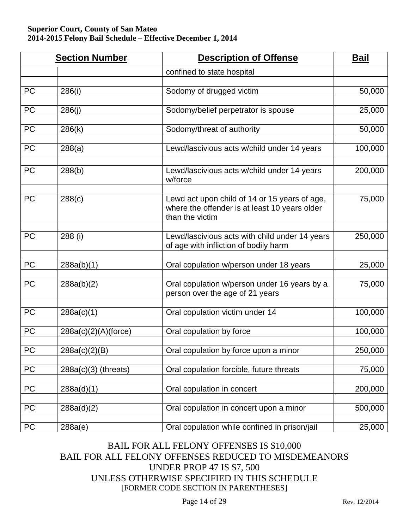|           | <b>Section Number</b>  | <b>Description of Offense</b>                                                                                     | <b>Bail</b> |
|-----------|------------------------|-------------------------------------------------------------------------------------------------------------------|-------------|
|           |                        | confined to state hospital                                                                                        |             |
| PC        | 286(i)                 | Sodomy of drugged victim                                                                                          | 50,000      |
| PC        | 286(j)                 | Sodomy/belief perpetrator is spouse                                                                               | 25,000      |
| <b>PC</b> | 286(k)                 | Sodomy/threat of authority                                                                                        | 50,000      |
| <b>PC</b> | 288(a)                 | Lewd/lascivious acts w/child under 14 years                                                                       | 100,000     |
| <b>PC</b> | 288(b)                 | Lewd/lascivious acts w/child under 14 years<br>w/force                                                            | 200,000     |
| <b>PC</b> | 288(c)                 | Lewd act upon child of 14 or 15 years of age,<br>where the offender is at least 10 years older<br>than the victim | 75,000      |
| <b>PC</b> | 288 (i)                | Lewd/lascivious acts with child under 14 years<br>of age with infliction of bodily harm                           | 250,000     |
| <b>PC</b> | 288a(b)(1)             | Oral copulation w/person under 18 years                                                                           | 25,000      |
| PC        | 288a(b)(2)             | Oral copulation w/person under 16 years by a<br>person over the age of 21 years                                   | 75,000      |
| <b>PC</b> | 288a(c)(1)             | Oral copulation victim under 14                                                                                   | 100,000     |
| PC        | 288a(c)(2)(A)(force)   | Oral copulation by force                                                                                          | 100,000     |
| PC        | 288a(c)(2)(B)          | Oral copulation by force upon a minor                                                                             | 250,000     |
| PC        | $288a(c)(3)$ (threats) | Oral copulation forcible, future threats                                                                          | 75,000      |
| PC        | 288a(d)(1)             | Oral copulation in concert                                                                                        | 200,000     |
| PC        | 288a(d)(2)             | Oral copulation in concert upon a minor                                                                           | 500,000     |
| PC        | 288a(e)                | Oral copulation while confined in prison/jail                                                                     | 25,000      |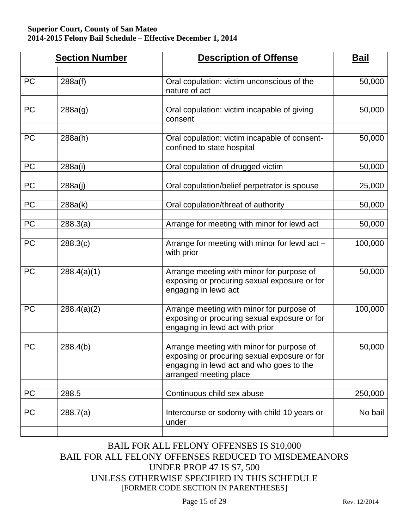|           | <b>Section Number</b> | <b>Description of Offense</b>                                                                                                                                   | <b>Bail</b> |
|-----------|-----------------------|-----------------------------------------------------------------------------------------------------------------------------------------------------------------|-------------|
| <b>PC</b> | 288a(f)               | Oral copulation: victim unconscious of the<br>nature of act                                                                                                     | 50,000      |
| <b>PC</b> | 288a(g)               | Oral copulation: victim incapable of giving<br>consent                                                                                                          | 50,000      |
| <b>PC</b> | 288a(h)               | Oral copulation: victim incapable of consent-<br>confined to state hospital                                                                                     | 50,000      |
| PC        | 288a(i)               | Oral copulation of drugged victim                                                                                                                               | 50,000      |
| <b>PC</b> | 288a(j)               | Oral copulation/belief perpetrator is spouse                                                                                                                    | 25,000      |
| PC        | 288a(k)               | Oral copulation/threat of authority                                                                                                                             | 50,000      |
| <b>PC</b> | 288.3(a)              | Arrange for meeting with minor for lewd act                                                                                                                     | 50,000      |
| <b>PC</b> | 288.3(c)              | Arrange for meeting with minor for lewd act -<br>with prior                                                                                                     | 100,000     |
| <b>PC</b> | 288.4(a)(1)           | Arrange meeting with minor for purpose of<br>exposing or procuring sexual exposure or for<br>engaging in lewd act                                               | 50,000      |
| <b>PC</b> | 288.4(a)(2)           | Arrange meeting with minor for purpose of<br>exposing or procuring sexual exposure or for<br>engaging in lewd act with prior                                    | 100,000     |
| <b>PC</b> | 288.4(b)              | Arrange meeting with minor for purpose of<br>exposing or procuring sexual exposure or for<br>engaging in lewd act and who goes to the<br>arranged meeting place | 50,000      |
| PC        | 288.5                 | Continuous child sex abuse                                                                                                                                      | 250,000     |
| <b>PC</b> | 288.7(a)              | Intercourse or sodomy with child 10 years or<br>under                                                                                                           | No bail     |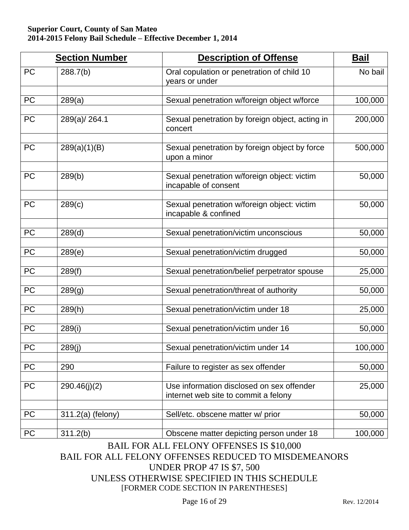|           | <b>Section Number</b> | <b>Description of Offense</b>                                                     | <b>Bail</b> |
|-----------|-----------------------|-----------------------------------------------------------------------------------|-------------|
| <b>PC</b> | 288.7(b)              | Oral copulation or penetration of child 10<br>years or under                      | No bail     |
| PC        | 289(a)                | Sexual penetration w/foreign object w/force                                       | 100,000     |
| <b>PC</b> | 289(a)/264.1          | Sexual penetration by foreign object, acting in<br>concert                        | 200,000     |
| <b>PC</b> | 289(a)(1)(B)          | Sexual penetration by foreign object by force<br>upon a minor                     | 500,000     |
| <b>PC</b> | 289(b)                | Sexual penetration w/foreign object: victim<br>incapable of consent               | 50,000      |
| <b>PC</b> | 289(c)                | Sexual penetration w/foreign object: victim<br>incapable & confined               | 50,000      |
| PC        | 289(d)                | Sexual penetration/victim unconscious                                             | 50,000      |
| PC        | 289(e)                | Sexual penetration/victim drugged                                                 | 50,000      |
| PC        | 289(f)                | Sexual penetration/belief perpetrator spouse                                      | 25,000      |
| PC        | 289(g)                | Sexual penetration/threat of authority                                            | 50,000      |
| PC        | 289(h)                | Sexual penetration/victim under 18                                                | 25,000      |
| PC        | 289(i)                | Sexual penetration/victim under 16                                                | 50,000      |
| <b>PC</b> | 289(j)                | Sexual penetration/victim under 14                                                | 100,000     |
| PC        | 290                   | Failure to register as sex offender                                               | 50,000      |
| PC        | 290.46(j)(2)          | Use information disclosed on sex offender<br>internet web site to commit a felony | 25,000      |
| PC        | 311.2(a) (felony)     | Sell/etc. obscene matter w/ prior                                                 | 50,000      |
| PC        | 311.2(b)              | Obscene matter depicting person under 18                                          | 100,000     |

### BAIL FOR ALL FELONY OFFENSES IS \$10,000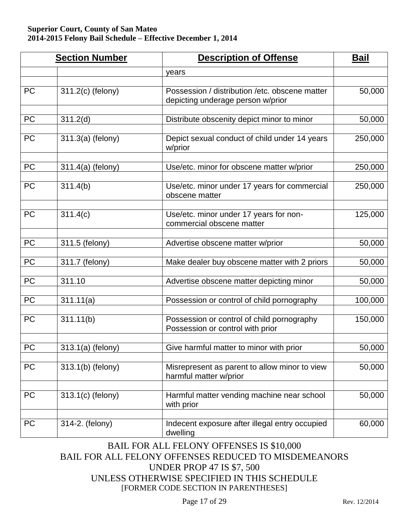|           | <b>Section Number</b> | <b>Description of Offense</b>                                                        | <b>Bail</b> |
|-----------|-----------------------|--------------------------------------------------------------------------------------|-------------|
|           |                       | years                                                                                |             |
| <b>PC</b> | 311.2(c) (felony)     | Possession / distribution / etc. obscene matter<br>depicting underage person w/prior | 50,000      |
| <b>PC</b> | 311.2(d)              | Distribute obscenity depict minor to minor                                           | 50,000      |
| <b>PC</b> | 311.3(a) (felony)     | Depict sexual conduct of child under 14 years<br>w/prior                             | 250,000     |
| <b>PC</b> | 311.4(a) (felony)     | Use/etc. minor for obscene matter w/prior                                            | 250,000     |
| <b>PC</b> | 311.4(b)              | Use/etc. minor under 17 years for commercial<br>obscene matter                       | 250,000     |
| <b>PC</b> | 311.4(c)              | Use/etc. minor under 17 years for non-<br>commercial obscene matter                  | 125,000     |
| PC        | 311.5 (felony)        | Advertise obscene matter w/prior                                                     | 50,000      |
| PC        | 311.7 (felony)        | Make dealer buy obscene matter with 2 priors                                         | 50,000      |
| PC        | 311.10                | Advertise obscene matter depicting minor                                             | 50,000      |
| PC        | 311.11(a)             | Possession or control of child pornography                                           | 100,000     |
| <b>PC</b> | 311.11(b)             | Possession or control of child pornography<br>Possession or control with prior       | 150,000     |
| PC        | 313.1(a) (felony)     | Give harmful matter to minor with prior                                              | 50,000      |
| PC        | 313.1(b) (felony)     | Misrepresent as parent to allow minor to view<br>harmful matter w/prior              | 50,000      |
| PC        | 313.1(c) (felony)     | Harmful matter vending machine near school<br>with prior                             | 50,000      |
| PC        | 314-2. (felony)       | Indecent exposure after illegal entry occupied<br>dwelling                           | 60,000      |

### BAIL FOR ALL FELONY OFFENSES IS \$10,000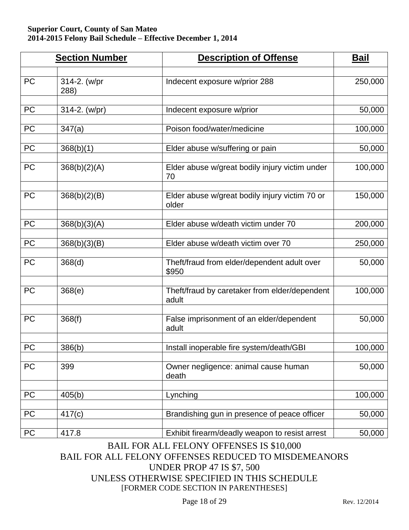|           | <b>Section Number</b> | <b>Description of Offense</b>                           | <b>Bail</b> |
|-----------|-----------------------|---------------------------------------------------------|-------------|
| PC        | 314-2. (w/pr<br>288)  | Indecent exposure w/prior 288                           | 250,000     |
| PC        | 314-2. (w/pr)         | Indecent exposure w/prior                               | 50,000      |
| PC        | 347(a)                | Poison food/water/medicine                              | 100,000     |
| PC        | 368(b)(1)             | Elder abuse w/suffering or pain                         | 50,000      |
| <b>PC</b> | 368(b)(2)(A)          | Elder abuse w/great bodily injury victim under<br>70    | 100,000     |
| <b>PC</b> | 368(b)(2)(B)          | Elder abuse w/great bodily injury victim 70 or<br>older | 150,000     |
| PC        | 368(b)(3)(A)          | Elder abuse w/death victim under 70                     | 200,000     |
| PC        | 368(b)(3)(B)          | Elder abuse w/death victim over 70                      | 250,000     |
| <b>PC</b> | 368(d)                | Theft/fraud from elder/dependent adult over<br>\$950    | 50,000      |
| PC        | 368(e)                | Theft/fraud by caretaker from elder/dependent<br>adult  | 100,000     |
| <b>PC</b> | 368(f)                | False imprisonment of an elder/dependent<br>adult       | 50,000      |
| PC        | 386(b)                | Install inoperable fire system/death/GBI                | 100,000     |
| PC        | 399                   | Owner negligence: animal cause human<br>death           | 50,000      |
| PC        | 405(b)                | Lynching                                                | 100,000     |
| PC        | 417(c)                | Brandishing gun in presence of peace officer            | 50,000      |
| <b>PC</b> | 417.8                 | Exhibit firearm/deadly weapon to resist arrest          | 50,000      |

### BAIL FOR ALL FELONY OFFENSES IS \$10,000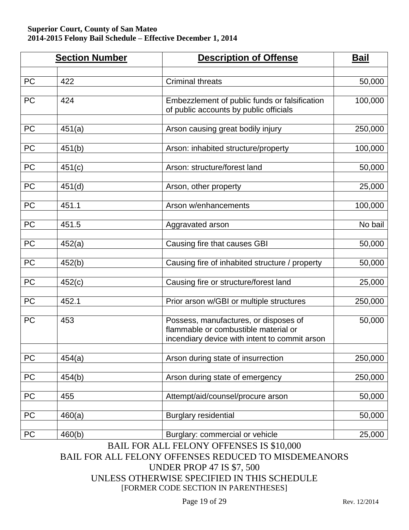|                 | <b>Section Number</b> | <b>Description of Offense</b>                                                                                                  | <b>Bail</b> |
|-----------------|-----------------------|--------------------------------------------------------------------------------------------------------------------------------|-------------|
| PC              | 422                   | <b>Criminal threats</b>                                                                                                        | 50,000      |
| <b>PC</b>       | 424                   | Embezzlement of public funds or falsification<br>of public accounts by public officials                                        | 100,000     |
| <b>PC</b>       | 451(a)                | Arson causing great bodily injury                                                                                              | 250,000     |
| PC              | 451(b)                | Arson: inhabited structure/property                                                                                            | 100,000     |
| PC              | 451(c)                | Arson: structure/forest land                                                                                                   | 50,000      |
| PC              | 451(d)                | Arson, other property                                                                                                          | 25,000      |
| PC              | 451.1                 | Arson w/enhancements                                                                                                           | 100,000     |
| <b>PC</b>       | 451.5                 | Aggravated arson                                                                                                               | No bail     |
| PC              | 452(a)                | Causing fire that causes GBI                                                                                                   | 50,000      |
| PC              | 452(b)                | Causing fire of inhabited structure / property                                                                                 | 50,000      |
| PC              | 452(c)                | Causing fire or structure/forest land                                                                                          | 25,000      |
| PC              | 452.1                 | Prior arson w/GBI or multiple structures                                                                                       | 250,000     |
| <b>PC</b>       | 453                   | Possess, manufactures, or disposes of<br>flammable or combustible material or<br>incendiary device with intent to commit arson | 50,000      |
| PC              | 454(a)                | Arson during state of insurrection                                                                                             | 250,000     |
| PC              | 454(b)                | Arson during state of emergency                                                                                                | 250,000     |
| PC              | 455                   | Attempt/aid/counsel/procure arson                                                                                              | 50,000      |
| $\overline{PC}$ | 460(a)                | <b>Burglary residential</b>                                                                                                    | 50,000      |
| PC              | 460(b)                | Burglary: commercial or vehicle                                                                                                | 25,000      |

BAIL FOR ALL FELONY OFFENSES IS \$10,000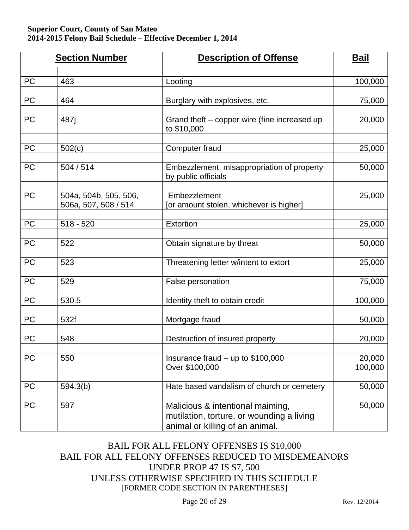|           | <b>Section Number</b>                         | <b>Description of Offense</b>                                                                                    | <b>Bail</b>       |
|-----------|-----------------------------------------------|------------------------------------------------------------------------------------------------------------------|-------------------|
|           |                                               |                                                                                                                  |                   |
| <b>PC</b> | 463                                           | Looting                                                                                                          | 100,000           |
| PC        | 464                                           | Burglary with explosives, etc.                                                                                   | 75,000            |
| <b>PC</b> | 487 <sub>i</sub>                              | Grand theft – copper wire (fine increased up<br>to \$10,000                                                      | 20,000            |
| <b>PC</b> | 502(c)                                        | <b>Computer fraud</b>                                                                                            | 25,000            |
| <b>PC</b> | 504/514                                       | Embezzlement, misappropriation of property<br>by public officials                                                | 50,000            |
| <b>PC</b> | 504a, 504b, 505, 506,<br>506a, 507, 508 / 514 | Embezzlement<br>[or amount stolen, whichever is higher]                                                          | 25,000            |
| <b>PC</b> | $518 - 520$                                   | Extortion                                                                                                        | 25,000            |
| PC        | 522                                           | Obtain signature by threat                                                                                       | 50,000            |
| PC        | 523                                           | Threatening letter w/intent to extort                                                                            | 25,000            |
| <b>PC</b> | 529                                           | False personation                                                                                                | 75,000            |
| <b>PC</b> | 530.5                                         | Identity theft to obtain credit                                                                                  | 100,000           |
| PC        | 532f                                          | Mortgage fraud                                                                                                   | 50,000            |
| PC        | 548                                           | Destruction of insured property                                                                                  | 20,000            |
| PC        | 550                                           | Insurance fraud $-$ up to \$100,000<br>Over \$100,000                                                            | 20,000<br>100,000 |
| PC        | 594.3(b)                                      | Hate based vandalism of church or cemetery                                                                       | 50,000            |
| PC        | 597                                           | Malicious & intentional maiming,<br>mutilation, torture, or wounding a living<br>animal or killing of an animal. | 50,000            |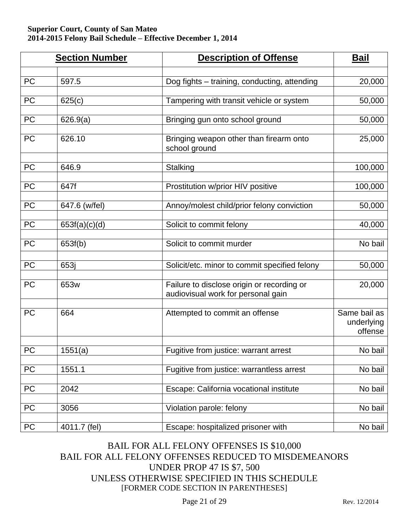|            | <b>Section Number</b> | <b>Description of Offense</b>                                                    | <b>Bail</b>                           |
|------------|-----------------------|----------------------------------------------------------------------------------|---------------------------------------|
|            |                       |                                                                                  |                                       |
| PC         | 597.5                 | Dog fights - training, conducting, attending                                     | 20,000                                |
| PC         | 625(c)                | Tampering with transit vehicle or system                                         | 50,000                                |
| PC         | 626.9(a)              | Bringing gun onto school ground                                                  | 50,000                                |
| PC         | 626.10                | Bringing weapon other than firearm onto<br>school ground                         | 25,000                                |
| PC         | 646.9                 | Stalking                                                                         | 100,000                               |
| PC         | 647f                  | Prostitution w/prior HIV positive                                                | 100,000                               |
| PC         | 647.6 (w/fel)         | Annoy/molest child/prior felony conviction                                       | 50,000                                |
| <b>PC</b>  | 653f(a)(c)(d)         | Solicit to commit felony                                                         | 40,000                                |
| <b>PC</b>  | 653f(b)               | Solicit to commit murder                                                         | No bail                               |
| <b>PC</b>  | 653j                  | Solicit/etc. minor to commit specified felony                                    | 50,000                                |
| <b>PC</b>  | 653w                  | Failure to disclose origin or recording or<br>audiovisual work for personal gain | 20,000                                |
| PC         | 664                   | Attempted to commit an offense                                                   | Same bail as<br>underlying<br>offense |
| ${\sf PC}$ | 1551(a)               | Fugitive from justice: warrant arrest                                            | No bail                               |
| PC         | 1551.1                | Fugitive from justice: warrantless arrest                                        | No bail                               |
| PC         | 2042                  | Escape: California vocational institute                                          | No bail                               |
| PC         | 3056                  | Violation parole: felony                                                         | No bail                               |
| PC         | 4011.7 (fel)          | Escape: hospitalized prisoner with                                               | No bail                               |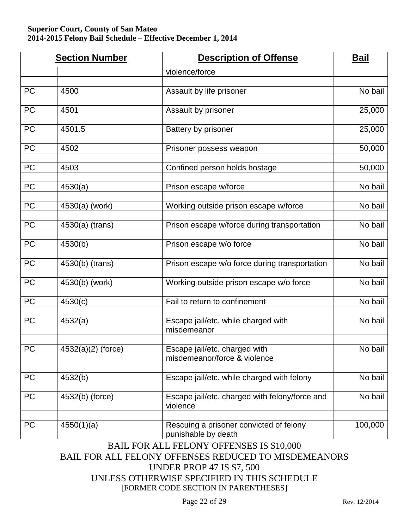|           | <b>Section Number</b> | <b>Description of Offense</b>                                  | <u>Bail</u> |
|-----------|-----------------------|----------------------------------------------------------------|-------------|
|           |                       | violence/force                                                 |             |
| <b>PC</b> | 4500                  | Assault by life prisoner                                       | No bail     |
| PC        | 4501                  | Assault by prisoner                                            | 25,000      |
| <b>PC</b> | 4501.5                | Battery by prisoner                                            | 25,000      |
| PC        | 4502                  | Prisoner possess weapon                                        | 50,000      |
| PC        | 4503                  | Confined person holds hostage                                  | 50,000      |
| PC        | 4530(a)               | Prison escape w/force                                          | No bail     |
| PC        | 4530(a) (work)        | Working outside prison escape w/force                          | No bail     |
| PC        | 4530(a) (trans)       | Prison escape w/force during transportation                    | No bail     |
| PC        | 4530(b)               | Prison escape w/o force                                        | No bail     |
| PC        | 4530(b) (trans)       | Prison escape w/o force during transportation                  | No bail     |
| PC        | 4530(b) (work)        | Working outside prison escape w/o force                        | No bail     |
| PC        | 4530(c)               | Fail to return to confinement                                  | No bail     |
| <b>PC</b> | 4532(a)               | Escape jail/etc. while charged with<br>misdemeanor             | No bail     |
| <b>PC</b> | 4532(a)(2) (force)    | Escape jail/etc. charged with<br>misdemeanor/force & violence  | No bail     |
| PC        | 4532(b)               | Escape jail/etc. while charged with felony                     | No bail     |
| <b>PC</b> | 4532(b) (force)       | Escape jail/etc. charged with felony/force and<br>violence     | No bail     |
| <b>PC</b> | 4550(1)(a)            | Rescuing a prisoner convicted of felony<br>punishable by death | 100,000     |

BAIL FOR ALL FELONY OFFENSES IS \$10,000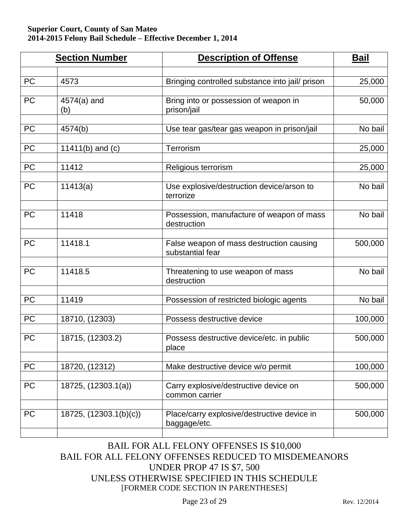|           | <b>Section Number</b>  | <b>Description of Offense</b>                                | <b>Bail</b> |
|-----------|------------------------|--------------------------------------------------------------|-------------|
| PC        | 4573                   | Bringing controlled substance into jail/ prison              | 25,000      |
|           |                        |                                                              |             |
| <b>PC</b> | 4574(a) and<br>(b)     | Bring into or possession of weapon in<br>prison/jail         | 50,000      |
| PC        | 4574(b)                | Use tear gas/tear gas weapon in prison/jail                  | No bail     |
| PC        | 11411(b) and $(c)$     | Terrorism                                                    | 25,000      |
| PC        | 11412                  | Religious terrorism                                          | 25,000      |
| <b>PC</b> | 11413(a)               | Use explosive/destruction device/arson to<br>terrorize       | No bail     |
| PC        | 11418                  | Possession, manufacture of weapon of mass<br>destruction     | No bail     |
| PC        | 11418.1                | False weapon of mass destruction causing<br>substantial fear | 500,000     |
| <b>PC</b> | 11418.5                | Threatening to use weapon of mass<br>destruction             | No bail     |
| PC        | 11419                  | Possession of restricted biologic agents                     | No bail     |
| PC        | 18710, (12303)         | Possess destructive device                                   | 100,000     |
| PC        | 18715, (12303.2)       | Possess destructive device/etc. in public<br>place           | 500,000     |
| PC        | 18720, (12312)         | Make destructive device w/o permit                           | 100,000     |
| <b>PC</b> | 18725, (12303.1(a))    | Carry explosive/destructive device on<br>common carrier      | 500,000     |
| PC        | 18725, (12303.1(b)(c)) | Place/carry explosive/destructive device in<br>baggage/etc.  | 500,000     |
|           |                        |                                                              |             |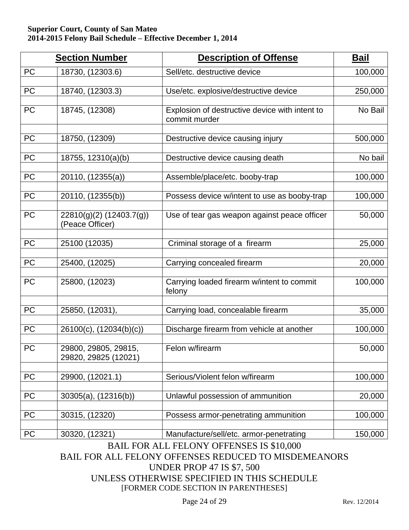|           | <b>Section Number</b>                        | <b>Description of Offense</b>                                   | <b>Bail</b> |
|-----------|----------------------------------------------|-----------------------------------------------------------------|-------------|
| <b>PC</b> | 18730, (12303.6)                             | Sell/etc. destructive device                                    | 100,000     |
| <b>PC</b> | 18740, (12303.3)                             | Use/etc. explosive/destructive device                           | 250,000     |
| <b>PC</b> | 18745, (12308)                               | Explosion of destructive device with intent to<br>commit murder | No Bail     |
| PC        | 18750, (12309)                               | Destructive device causing injury                               | 500,000     |
| PC        | 18755, 12310(a)(b)                           | Destructive device causing death                                | No bail     |
| <b>PC</b> | 20110, (12355(a))                            | Assemble/place/etc. booby-trap                                  | 100,000     |
| PC        | 20110, (12355(b))                            | Possess device w/intent to use as booby-trap                    | 100,000     |
| PC        | 22810(g)(2) (12403.7(g))<br>(Peace Officer)  | Use of tear gas weapon against peace officer                    | 50,000      |
| PC        | 25100 (12035)                                | Criminal storage of a firearm                                   | 25,000      |
| PC        | 25400, (12025)                               | Carrying concealed firearm                                      | 20,000      |
| <b>PC</b> | 25800, (12023)                               | Carrying loaded firearm w/intent to commit<br>felony            | 100,000     |
| PC        | 25850, (12031),                              | Carrying load, concealable firearm                              | 35,000      |
| PC        | $26100(c)$ , $(12034(b)(c))$                 | Discharge firearm from vehicle at another                       | 100,000     |
| PC        | 29800, 29805, 29815.<br>29820, 29825 (12021) | Felon w/firearm                                                 | 50,000      |
| <b>PC</b> | 29900, (12021.1)                             | Serious/Violent felon w/firearm                                 | 100,000     |
| PC        | $30305(a)$ , $(12316(b))$                    | Unlawful possession of ammunition                               | 20,000      |
| PC        | 30315, (12320)                               | Possess armor-penetrating ammunition                            | 100,000     |
| PC        | 30320, (12321)                               | Manufacture/sell/etc. armor-penetrating                         | 150,000     |

BAIL FOR ALL FELONY OFFENSES IS \$10,000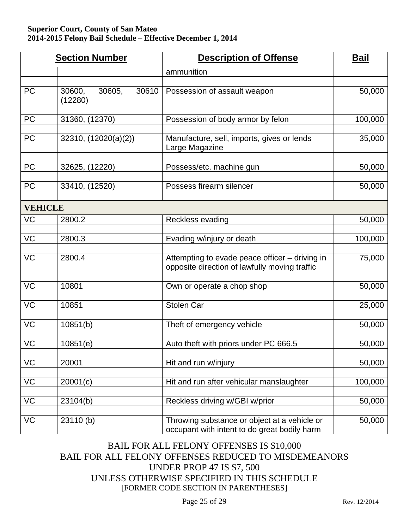|                | <b>Section Number</b>                | <b>Description of Offense</b>                                                                   | <b>Bail</b> |
|----------------|--------------------------------------|-------------------------------------------------------------------------------------------------|-------------|
|                |                                      | ammunition                                                                                      |             |
| <b>PC</b>      | 30600,<br>30605,<br>30610<br>(12280) | Possession of assault weapon                                                                    | 50,000      |
| <b>PC</b>      | 31360, (12370)                       | Possession of body armor by felon                                                               | 100,000     |
| <b>PC</b>      | 32310, (12020(a)(2))                 | Manufacture, sell, imports, gives or lends<br>Large Magazine                                    | 35,000      |
| <b>PC</b>      | 32625, (12220)                       | Possess/etc. machine gun                                                                        | 50,000      |
| <b>PC</b>      | 33410, (12520)                       | Possess firearm silencer                                                                        | 50,000      |
| <b>VEHICLE</b> |                                      |                                                                                                 |             |
| VC             | 2800.2                               | Reckless evading                                                                                | 50,000      |
| VC             | 2800.3                               | Evading w/injury or death                                                                       | 100,000     |
| <b>VC</b>      | 2800.4                               | Attempting to evade peace officer - driving in<br>opposite direction of lawfully moving traffic | 75,000      |
| <b>VC</b>      | 10801                                | Own or operate a chop shop                                                                      | 50,000      |
| <b>VC</b>      | 10851                                | <b>Stolen Car</b>                                                                               | 25,000      |
| VC             | 10851(b)                             | Theft of emergency vehicle                                                                      | 50,000      |
| <b>VC</b>      | 10851(e)                             | Auto theft with priors under PC 666.5                                                           | 50,000      |
| VC             | 20001                                | Hit and run w/injury                                                                            | 50,000      |
| VC             | 20001(c)                             | Hit and run after vehicular manslaughter                                                        | 100,000     |
| VC             | 23104(b)                             | Reckless driving w/GBI w/prior                                                                  | 50,000      |
| VC             | 23110(b)                             | Throwing substance or object at a vehicle or<br>occupant with intent to do great bodily harm    | 50,000      |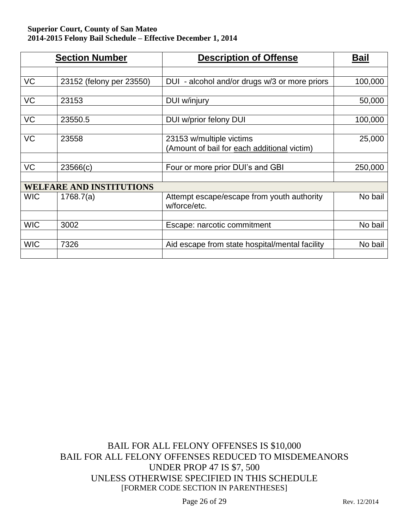|            | <b>Section Number</b>           | <b>Description of Offense</b>                                           | Bail    |
|------------|---------------------------------|-------------------------------------------------------------------------|---------|
|            |                                 |                                                                         |         |
| <b>VC</b>  | 23152 (felony per 23550)        | DUI - alcohol and/or drugs w/3 or more priors                           | 100,000 |
| <b>VC</b>  | 23153                           | DUI w/injury                                                            | 50,000  |
|            |                                 |                                                                         |         |
| <b>VC</b>  | 23550.5                         | DUI w/prior felony DUI                                                  | 100,000 |
|            |                                 |                                                                         |         |
| VC         | 23558                           | 23153 w/multiple victims<br>(Amount of bail for each additional victim) | 25,000  |
|            |                                 |                                                                         |         |
| VC         | 23566(c)                        | Four or more prior DUI's and GBI                                        | 250,000 |
|            |                                 |                                                                         |         |
|            | <b>WELFARE AND INSTITUTIONS</b> |                                                                         |         |
| <b>WIC</b> | 1768.7(a)                       | Attempt escape/escape from youth authority<br>w/force/etc.              | No bail |
|            |                                 |                                                                         |         |
| <b>WIC</b> | 3002                            | Escape: narcotic commitment                                             | No bail |
|            |                                 |                                                                         |         |
| <b>WIC</b> | 7326                            | Aid escape from state hospital/mental facility                          | No bail |
|            |                                 |                                                                         |         |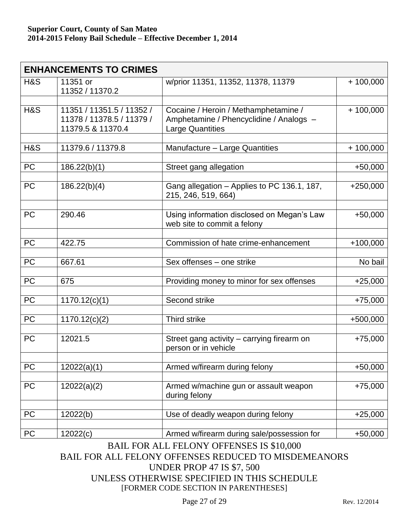| <b>ENHANCEMENTS TO CRIMES</b> |                                                                             |                                                                                                            |            |
|-------------------------------|-----------------------------------------------------------------------------|------------------------------------------------------------------------------------------------------------|------------|
| H&S                           | 11351 or<br>11352 / 11370.2                                                 | w/prior 11351, 11352, 11378, 11379                                                                         | $+100,000$ |
|                               |                                                                             |                                                                                                            |            |
| H&S                           | 11351 / 11351.5 / 11352 /<br>11378 / 11378.5 / 11379 /<br>11379.5 & 11370.4 | Cocaine / Heroin / Methamphetamine /<br>Amphetamine / Phencyclidine / Analogs -<br><b>Large Quantities</b> | $+100,000$ |
|                               |                                                                             |                                                                                                            |            |
| H&S                           | 11379.6 / 11379.8                                                           | Manufacture - Large Quantities                                                                             | $+100,000$ |
| PC                            | 186.22(b)(1)                                                                | Street gang allegation                                                                                     | $+50,000$  |
| <b>PC</b>                     | 186.22(b)(4)                                                                | Gang allegation - Applies to PC 136.1, 187,<br>215, 246, 519, 664)                                         | $+250,000$ |
| <b>PC</b>                     | 290.46                                                                      | Using information disclosed on Megan's Law<br>web site to commit a felony                                  | $+50,000$  |
| PC                            | 422.75                                                                      | Commission of hate crime-enhancement                                                                       | $+100,000$ |
|                               |                                                                             |                                                                                                            |            |
| PC                            | 667.61                                                                      | Sex offenses - one strike                                                                                  | No bail    |
| <b>PC</b>                     | 675                                                                         | Providing money to minor for sex offenses                                                                  | $+25,000$  |
| PC                            | 1170.12(c)(1)                                                               | Second strike                                                                                              | $+75,000$  |
| PC                            | 1170.12(c)(2)                                                               | Third strike                                                                                               | +500,000   |
| <b>PC</b>                     | 12021.5                                                                     | Street gang activity - carrying firearm on<br>person or in vehicle                                         | $+75,000$  |
|                               |                                                                             |                                                                                                            |            |
| $\overline{PC}$               | 12022(a)(1)                                                                 | Armed w/firearm during felony                                                                              | $+50,000$  |
| PC                            | 12022(a)(2)                                                                 | Armed w/machine gun or assault weapon<br>during felony                                                     | $+75,000$  |
| PC                            | 12022(b)                                                                    | Use of deadly weapon during felony                                                                         | $+25,000$  |
|                               |                                                                             |                                                                                                            |            |
| PC                            | 12022(c)                                                                    | Armed w/firearm during sale/possession for                                                                 | $+50,000$  |

BAIL FOR ALL FELONY OFFENSES IS \$10,000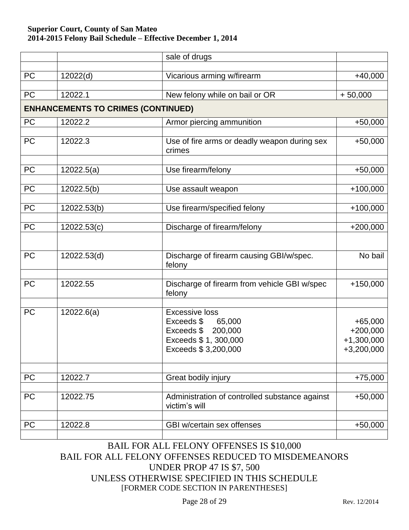|           |                                           | sale of drugs                                                                                                   |                                                         |
|-----------|-------------------------------------------|-----------------------------------------------------------------------------------------------------------------|---------------------------------------------------------|
| <b>PC</b> | 12022(d)                                  | Vicarious arming w/firearm                                                                                      | $+40,000$                                               |
|           |                                           |                                                                                                                 |                                                         |
| PC        | 12022.1                                   | New felony while on bail or OR                                                                                  | $+50,000$                                               |
|           | <b>ENHANCEMENTS TO CRIMES (CONTINUED)</b> |                                                                                                                 |                                                         |
| <b>PC</b> | 12022.2                                   | Armor piercing ammunition                                                                                       | $+50,000$                                               |
| <b>PC</b> | 12022.3                                   | Use of fire arms or deadly weapon during sex<br>crimes                                                          | $+50,000$                                               |
| <b>PC</b> | 12022.5(a)                                | Use firearm/felony                                                                                              | $+50,000$                                               |
| <b>PC</b> | 12022.5(b)                                | Use assault weapon                                                                                              | $+100,000$                                              |
| <b>PC</b> | 12022.53(b)                               | Use firearm/specified felony                                                                                    | $+100,000$                                              |
| PC        | 12022.53(c)                               | Discharge of firearm/felony                                                                                     | $+200,000$                                              |
| <b>PC</b> | 12022.53(d)                               | Discharge of firearm causing GBI/w/spec.<br>felony                                                              | No bail                                                 |
| <b>PC</b> | 12022.55                                  | Discharge of firearm from vehicle GBI w/spec<br>felony                                                          | $+150,000$                                              |
| <b>PC</b> | 12022.6(a)                                | <b>Excessive loss</b><br>Exceeds \$ 65,000<br>Exceeds \$200,000<br>Exceeds \$ 1, 300,000<br>Exceeds \$3,200,000 | $+65,000$<br>$+200,000$<br>$+1,300,000$<br>$+3,200,000$ |
| <b>PC</b> | 12022.7                                   | Great bodily injury                                                                                             | $+75,000$                                               |
| PC        | 12022.75                                  | Administration of controlled substance against<br>victim's will                                                 | $+50,000$                                               |
| <b>PC</b> | 12022.8                                   | GBI w/certain sex offenses                                                                                      | $+50,000$                                               |

### BAIL FOR ALL FELONY OFFENSES IS \$10,000